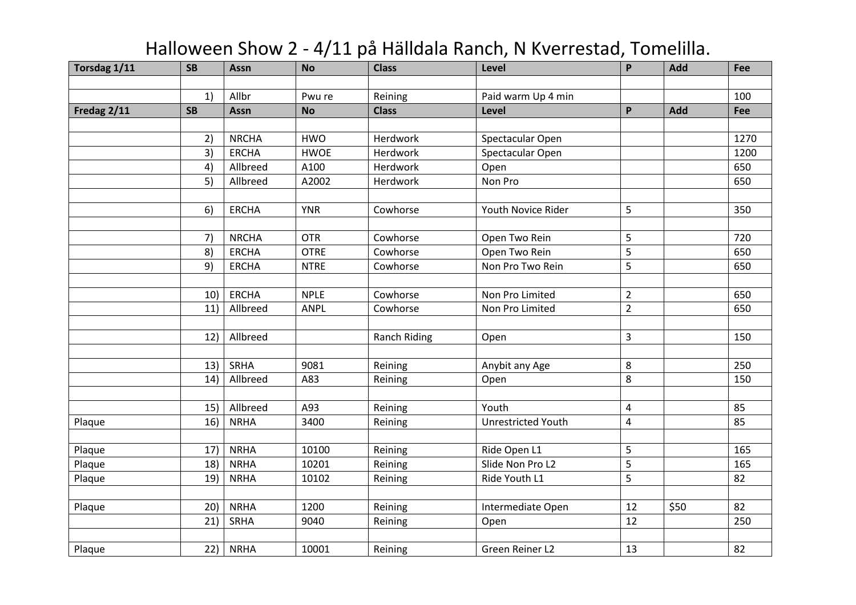| Torsdag 1/11 | <b>SB</b> | Assn         | <b>No</b>   | <b>Class</b>        | Level                     | P              | Add  | Fee  |
|--------------|-----------|--------------|-------------|---------------------|---------------------------|----------------|------|------|
|              |           |              |             |                     |                           |                |      |      |
|              | 1)        | Allbr        | Pwu re      | Reining             | Paid warm Up 4 min        |                |      | 100  |
| Fredag 2/11  | <b>SB</b> | Assn         | <b>No</b>   | <b>Class</b>        | Level                     | P              | Add  | Fee  |
|              |           |              |             |                     |                           |                |      |      |
|              | 2)        | <b>NRCHA</b> | <b>HWO</b>  | Herdwork            | Spectacular Open          |                |      | 1270 |
|              | 3)        | <b>ERCHA</b> | <b>HWOE</b> | Herdwork            | Spectacular Open          |                |      | 1200 |
|              | 4)        | Allbreed     | A100        | Herdwork            | Open                      |                |      | 650  |
|              | 5)        | Allbreed     | A2002       | Herdwork            | Non Pro                   |                |      | 650  |
|              |           |              |             |                     |                           |                |      |      |
|              | 6)        | <b>ERCHA</b> | <b>YNR</b>  | Cowhorse            | Youth Novice Rider        | 5              |      | 350  |
|              |           |              |             |                     |                           |                |      |      |
|              | 7)        | <b>NRCHA</b> | <b>OTR</b>  | Cowhorse            | Open Two Rein             | 5              |      | 720  |
|              | 8)        | <b>ERCHA</b> | <b>OTRE</b> | Cowhorse            | Open Two Rein             | 5              |      | 650  |
|              | 9)        | <b>ERCHA</b> | <b>NTRE</b> | Cowhorse            | Non Pro Two Rein          | 5              |      | 650  |
|              |           |              |             |                     |                           |                |      |      |
|              | 10)       | <b>ERCHA</b> | <b>NPLE</b> | Cowhorse            | Non Pro Limited           | $\overline{2}$ |      | 650  |
|              | 11)       | Allbreed     | ANPL        | Cowhorse            | Non Pro Limited           | $\overline{2}$ |      | 650  |
|              |           |              |             |                     |                           |                |      |      |
|              | 12)       | Allbreed     |             | <b>Ranch Riding</b> | Open                      | 3              |      | 150  |
|              |           |              |             |                     |                           |                |      |      |
|              | 13)       | SRHA         | 9081        | Reining             | Anybit any Age            | 8              |      | 250  |
|              | 14)       | Allbreed     | A83         | Reining             | Open                      | 8              |      | 150  |
|              |           |              |             |                     |                           |                |      |      |
|              | 15)       | Allbreed     | A93         | Reining             | Youth                     | 4              |      | 85   |
| Plaque       | 16)       | <b>NRHA</b>  | 3400        | Reining             | <b>Unrestricted Youth</b> | 4              |      | 85   |
|              |           |              |             |                     |                           |                |      |      |
| Plaque       | 17)       | <b>NRHA</b>  | 10100       | Reining             | Ride Open L1              | 5              |      | 165  |
| Plaque       | 18)       | <b>NRHA</b>  | 10201       | Reining             | Slide Non Pro L2          | 5              |      | 165  |
| Plaque       | 19)       | <b>NRHA</b>  | 10102       | Reining             | Ride Youth L1             | 5              |      | 82   |
|              |           |              |             |                     |                           |                |      |      |
| Plaque       | 20)       | <b>NRHA</b>  | 1200        | Reining             | Intermediate Open         | 12             | \$50 | 82   |
|              | 21)       | SRHA         | 9040        | Reining             | Open                      | 12             |      | 250  |
|              |           |              |             |                     |                           |                |      |      |
| Plaque       | 22)       | <b>NRHA</b>  | 10001       | Reining             | Green Reiner L2           | 13             |      | 82   |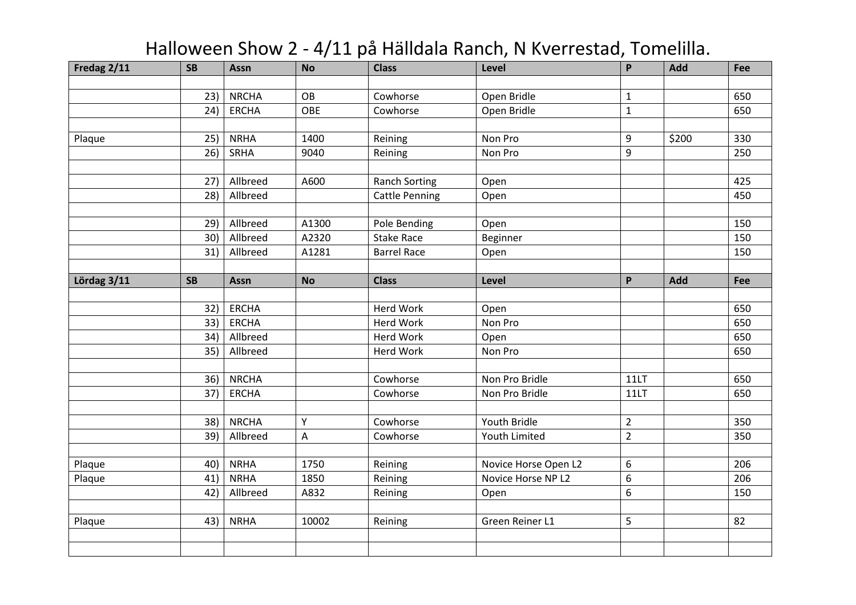| Fredag 2/11 | <b>SB</b> | Assn         | <b>No</b> | <b>Class</b>          | Level                | $\mathsf{P}$     | Add   | Fee |
|-------------|-----------|--------------|-----------|-----------------------|----------------------|------------------|-------|-----|
|             |           |              |           |                       |                      |                  |       |     |
|             | 23)       | <b>NRCHA</b> | OB        | Cowhorse              | Open Bridle          | $\mathbf{1}$     |       | 650 |
|             | 24)       | <b>ERCHA</b> | OBE       | Cowhorse              | Open Bridle          | $\mathbf{1}$     |       | 650 |
|             |           |              |           |                       |                      |                  |       |     |
| Plaque      | 25)       | <b>NRHA</b>  | 1400      | Reining               | Non Pro              | 9                | \$200 | 330 |
|             | 26)       | SRHA         | 9040      | Reining               | Non Pro              | 9                |       | 250 |
|             |           |              |           |                       |                      |                  |       |     |
|             | 27)       | Allbreed     | A600      | <b>Ranch Sorting</b>  | Open                 |                  |       | 425 |
|             | 28)       | Allbreed     |           | <b>Cattle Penning</b> | Open                 |                  |       | 450 |
|             |           |              |           |                       |                      |                  |       |     |
|             | 29)       | Allbreed     | A1300     | Pole Bending          | Open                 |                  |       | 150 |
|             | 30)       | Allbreed     | A2320     | <b>Stake Race</b>     | Beginner             |                  |       | 150 |
|             | 31)       | Allbreed     | A1281     | <b>Barrel Race</b>    | Open                 |                  |       | 150 |
|             |           |              |           |                       |                      |                  |       |     |
| Lördag 3/11 | <b>SB</b> | Assn         | <b>No</b> | <b>Class</b>          | Level                | P                | Add   | Fee |
|             |           |              |           |                       |                      |                  |       |     |
|             | 32)       | <b>ERCHA</b> |           | Herd Work             | Open                 |                  |       | 650 |
|             | 33)       | <b>ERCHA</b> |           | Herd Work             | Non Pro              |                  |       | 650 |
|             | 34)       | Allbreed     |           | Herd Work             | Open                 |                  |       | 650 |
|             | 35)       | Allbreed     |           | Herd Work             | Non Pro              |                  |       | 650 |
|             |           |              |           |                       |                      |                  |       |     |
|             | 36)       | <b>NRCHA</b> |           | Cowhorse              | Non Pro Bridle       | 11LT             |       | 650 |
|             | 37)       | <b>ERCHA</b> |           | Cowhorse              | Non Pro Bridle       | 11LT             |       | 650 |
|             |           |              |           |                       |                      |                  |       |     |
|             | 38)       | <b>NRCHA</b> | Y         | Cowhorse              | Youth Bridle         | $\overline{2}$   |       | 350 |
|             | 39)       | Allbreed     | A         | Cowhorse              | Youth Limited        | $\overline{2}$   |       | 350 |
|             |           |              |           |                       |                      |                  |       |     |
| Plaque      | 40)       | <b>NRHA</b>  | 1750      | Reining               | Novice Horse Open L2 | $\boldsymbol{6}$ |       | 206 |
| Plaque      | 41)       | <b>NRHA</b>  | 1850      | Reining               | Novice Horse NP L2   | $\boldsymbol{6}$ |       | 206 |
|             | 42)       | Allbreed     | A832      | Reining               | Open                 | $\boldsymbol{6}$ |       | 150 |
|             |           |              |           |                       |                      |                  |       |     |
| Plaque      | 43)       | <b>NRHA</b>  | 10002     | Reining               | Green Reiner L1      | 5                |       | 82  |
|             |           |              |           |                       |                      |                  |       |     |
|             |           |              |           |                       |                      |                  |       |     |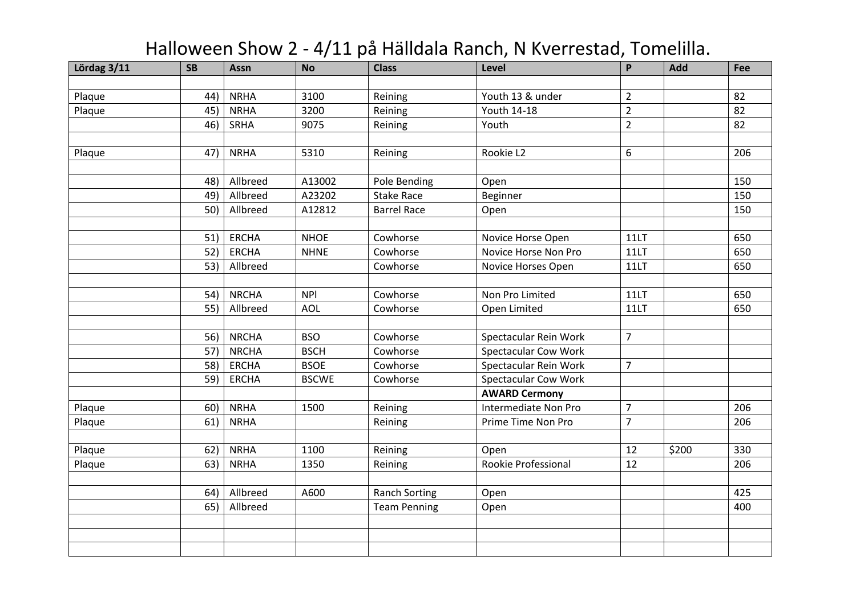| Lördag 3/11 | <b>SB</b> | Assn         | <b>No</b>    | <b>Class</b>         | Level                       | $\mathsf{P}$   | Add   | Fee |
|-------------|-----------|--------------|--------------|----------------------|-----------------------------|----------------|-------|-----|
|             |           |              |              |                      |                             |                |       |     |
| Plaque      | 44)       | <b>NRHA</b>  | 3100         | Reining              | Youth 13 & under            | $\overline{2}$ |       | 82  |
| Plaque      | 45)       | <b>NRHA</b>  | 3200         | Reining              | Youth 14-18                 | $\overline{2}$ |       | 82  |
|             | 46)       | SRHA         | 9075         | Reining              | Youth                       | $\overline{2}$ |       | 82  |
|             |           |              |              |                      |                             |                |       |     |
| Plaque      | 47)       | <b>NRHA</b>  | 5310         | Reining              | Rookie L2                   | 6              |       | 206 |
|             |           |              |              |                      |                             |                |       |     |
|             | 48)       | Allbreed     | A13002       | Pole Bending         | Open                        |                |       | 150 |
|             | 49)       | Allbreed     | A23202       | <b>Stake Race</b>    | Beginner                    |                |       | 150 |
|             | 50)       | Allbreed     | A12812       | <b>Barrel Race</b>   | Open                        |                |       | 150 |
|             |           |              |              |                      |                             |                |       |     |
|             | 51)       | <b>ERCHA</b> | <b>NHOE</b>  | Cowhorse             | Novice Horse Open           | 11LT           |       | 650 |
|             | 52)       | <b>ERCHA</b> | <b>NHNE</b>  | Cowhorse             | Novice Horse Non Pro        | 11LT           |       | 650 |
|             | 53)       | Allbreed     |              | Cowhorse             | Novice Horses Open          | 11LT           |       | 650 |
|             |           |              |              |                      |                             |                |       |     |
|             | 54)       | <b>NRCHA</b> | <b>NPI</b>   | Cowhorse             | Non Pro Limited             | 11LT           |       | 650 |
|             | 55)       | Allbreed     | AOL          | Cowhorse             | Open Limited                | 11LT           |       | 650 |
|             |           |              |              |                      |                             |                |       |     |
|             | 56)       | <b>NRCHA</b> | <b>BSO</b>   | Cowhorse             | Spectacular Rein Work       | $\overline{7}$ |       |     |
|             | 57)       | <b>NRCHA</b> | <b>BSCH</b>  | Cowhorse             | <b>Spectacular Cow Work</b> |                |       |     |
|             | 58)       | <b>ERCHA</b> | <b>BSOE</b>  | Cowhorse             | Spectacular Rein Work       | $\overline{7}$ |       |     |
|             | 59)       | <b>ERCHA</b> | <b>BSCWE</b> | Cowhorse             | <b>Spectacular Cow Work</b> |                |       |     |
|             |           |              |              |                      | <b>AWARD Cermony</b>        |                |       |     |
| Plaque      | 60)       | <b>NRHA</b>  | 1500         | Reining              | Intermediate Non Pro        | $\overline{7}$ |       | 206 |
| Plaque      | 61)       | <b>NRHA</b>  |              | Reining              | Prime Time Non Pro          | $\overline{7}$ |       | 206 |
|             |           |              |              |                      |                             |                |       |     |
| Plaque      | 62)       | <b>NRHA</b>  | 1100         | Reining              | Open                        | 12             | \$200 | 330 |
| Plaque      | 63)       | <b>NRHA</b>  | 1350         | Reining              | Rookie Professional         | 12             |       | 206 |
|             |           |              |              |                      |                             |                |       |     |
|             | 64)       | Allbreed     | A600         | <b>Ranch Sorting</b> | Open                        |                |       | 425 |
|             | 65)       | Allbreed     |              | <b>Team Penning</b>  | Open                        |                |       | 400 |
|             |           |              |              |                      |                             |                |       |     |
|             |           |              |              |                      |                             |                |       |     |
|             |           |              |              |                      |                             |                |       |     |